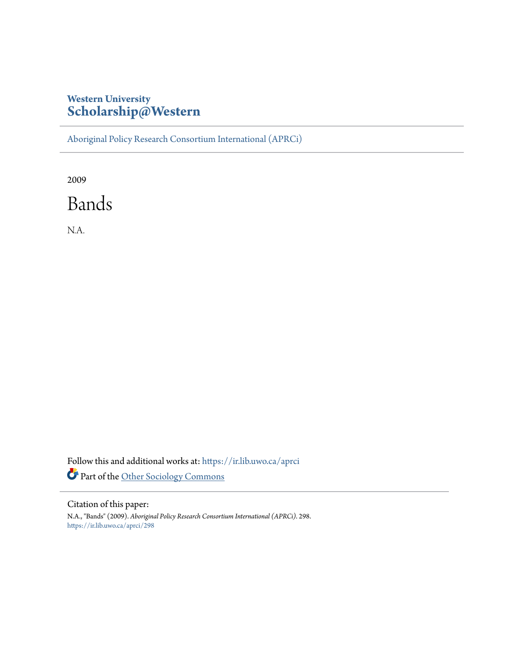# **Western University [Scholarship@Western](https://ir.lib.uwo.ca?utm_source=ir.lib.uwo.ca%2Faprci%2F298&utm_medium=PDF&utm_campaign=PDFCoverPages)**

[Aboriginal Policy Research Consortium International \(APRCi\)](https://ir.lib.uwo.ca/aprci?utm_source=ir.lib.uwo.ca%2Faprci%2F298&utm_medium=PDF&utm_campaign=PDFCoverPages)

2009

Bands

N.A.

Follow this and additional works at: [https://ir.lib.uwo.ca/aprci](https://ir.lib.uwo.ca/aprci?utm_source=ir.lib.uwo.ca%2Faprci%2F298&utm_medium=PDF&utm_campaign=PDFCoverPages) Part of the [Other Sociology Commons](http://network.bepress.com/hgg/discipline/434?utm_source=ir.lib.uwo.ca%2Faprci%2F298&utm_medium=PDF&utm_campaign=PDFCoverPages)

Citation of this paper:

N.A., "Bands" (2009). *Aboriginal Policy Research Consortium International (APRCi)*. 298. [https://ir.lib.uwo.ca/aprci/298](https://ir.lib.uwo.ca/aprci/298?utm_source=ir.lib.uwo.ca%2Faprci%2F298&utm_medium=PDF&utm_campaign=PDFCoverPages)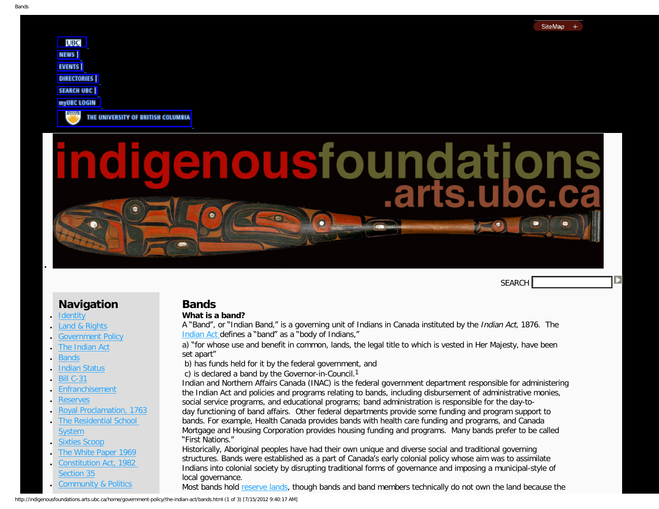SEARCH

<span id="page-1-0"></span>

THE UNIVERSITY OF BRITISH COLUMBIA

# enousfoundation

# **Navigation**

**[Identity](http://indigenousfoundations.arts.ubc.ca/home/identity.html)** 

●

- [Land & Rights](http://indigenousfoundations.arts.ubc.ca/home/land-rights.html)
- **[Government Policy](http://indigenousfoundations.arts.ubc.ca/home/government-policy.html)**
- **[The Indian Act](http://indigenousfoundations.arts.ubc.ca/home/government-policy/the-indian-act.html)**
- **[Bands](#page-1-0)**
- **[Indian Status](http://indigenousfoundations.arts.ubc.ca/home/government-policy/the-indian-act/indian-status.html)**
- **[Bill C-31](http://indigenousfoundations.arts.ubc.ca/home/government-policy/the-indian-act/bill-c-31.html)**
- **[Enfranchisement](http://indigenousfoundations.arts.ubc.ca/home/government-policy/the-indian-act/enfranchisement.html)**
- **[Reserves](http://indigenousfoundations.arts.ubc.ca/home/government-policy/reserves.html)**
- [Royal Proclamation, 1763](http://indigenousfoundations.arts.ubc.ca/home/government-policy/royal-proclamation-1763.html)
- **[The Residential School](http://indigenousfoundations.arts.ubc.ca/home/government-policy/the-residential-school-system.html) [System](http://indigenousfoundations.arts.ubc.ca/home/government-policy/the-residential-school-system.html)**
- **[Sixties Scoop](http://indigenousfoundations.arts.ubc.ca/home/government-policy/sixties-scoop.html)**
- [The White Paper 1969](http://indigenousfoundations.arts.ubc.ca/home/government-policy/the-white-paper-1969.html)
- Constitution Act, 1982 [Section 35](http://indigenousfoundations.arts.ubc.ca/home/government-policy/constitution-act-1982-section-35.html)
- [Community & Politics](http://indigenousfoundations.arts.ubc.ca/home/community-politics.html)

# **Bands**

# **What is a band?**

A "Band", or "Indian Band," is a governing unit of Indians in Canada instituted by the Indian Act, 1876. The [Indian Act](http://indigenousfoundations.arts.ubc.ca/home/government-policy/the-indian-act.html) defines a "band" as a "body of Indians,"

a) "for whose use and benefit in common, lands, the legal title to which is vested in Her Majesty, have been set apart"

b) has funds held for it by the federal government, and

c) is declared a band by the Governor-in-Council.1

Indian and Northern Affairs Canada (INAC) is the federal government department responsible for administering the Indian Act and policies and programs relating to bands, including disbursement of administrative monies, social service programs, and educational programs; band administration is responsible for the day-today functioning of band affairs. Other federal departments provide some funding and program support to bands. For example, Health Canada provides bands with health care funding and programs, and Canada Mortgage and Housing Corporation provides housing funding and programs. Many bands prefer to be called "First Nations."

Historically, Aboriginal peoples have had their own unique and diverse social and traditional governing structures. Bands were established as a part of Canada's early colonial policy whose aim was to assimilate Indians into colonial society by disrupting traditional forms of governance and imposing a municipal-style of local governance.

Most bands hold [reserve lands,](http://indigenousfoundations.arts.ubc.ca/home/government-policy/reserves.html) though bands and band members technically do not own the land because the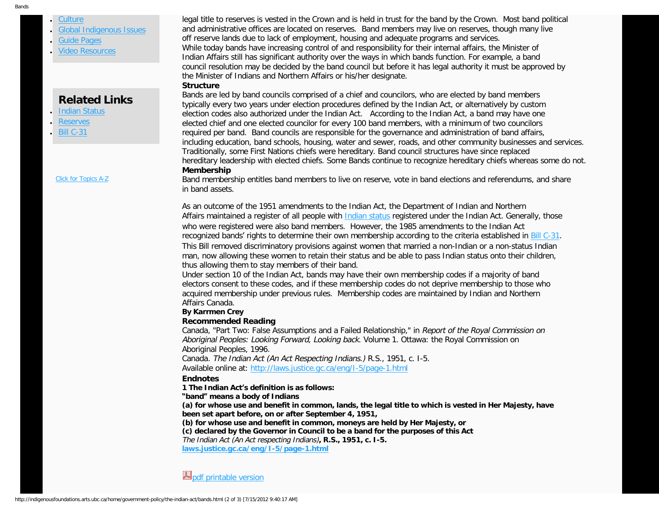### [Culture](http://indigenousfoundations.arts.ubc.ca/home/culture.html) [Global Indigenous Issues](http://indigenousfoundations.arts.ubc.ca/home/global-indigenous-issues.html)

- 
- **[Guide Pages](http://indigenousfoundations.arts.ubc.ca/home/guide-pages.html)**
- **[Video Resources](http://indigenousfoundations.arts.ubc.ca/home/video-resources.html)**

# **Related Links**

- **[Indian Status](http://indigenousfoundations.arts.ubc.ca/home/government-policy/the-indian-act/indian-status.html)**
- **[Reserves](http://indigenousfoundations.arts.ubc.ca/home/government-policy/reserves.html)**
- **[Bill C-31](http://indigenousfoundations.arts.ubc.ca/home/government-policy/the-indian-act/bill-c-31.html)**

[Click for Topics A-Z](http://indigenousfoundations.arts.ubc.ca/home/system/index.html)

legal title to reserves is vested in the Crown and is held in trust for the band by the Crown. Most band political and administrative offices are located on reserves. Band members may live on reserves, though many live off reserve lands due to lack of employment, housing and adequate programs and services. While today bands have increasing control of and responsibility for their internal affairs, the Minister of Indian Affairs still has significant authority over the ways in which bands function. For example, a band council resolution may be decided by the band council but before it has legal authority it must be approved by the Minister of Indians and Northern Affairs or his/her designate.

### **Structure**

Bands are led by band councils comprised of a chief and councilors, who are elected by band members typically every two years under election procedures defined by the Indian Act, or alternatively by custom election codes also authorized under the Indian Act. According to the Indian Act, a band may have one elected chief and one elected councilor for every 100 band members, with a minimum of two councilors required per band. Band councils are responsible for the governance and administration of band affairs, including education, band schools, housing, water and sewer, roads, and other community businesses and services. Traditionally, some First Nations chiefs were hereditary. Band council structures have since replaced hereditary leadership with elected chiefs. Some Bands continue to recognize hereditary chiefs whereas some do not. **Membership**

Band membership entitles band members to live on reserve, vote in band elections and referendums, and share in band assets.

As an outcome of the 1951 amendments to the Indian Act, the Department of Indian and Northern Affairs maintained a register of all people with [Indian status](http://indigenousfoundations.arts.ubc.ca/home/government-policy/the-indian-act/indian-status.html) registered under the Indian Act. Generally, those who were registered were also band members. However, the 1985 amendments to the Indian Act recognized bands' rights to determine their own membership according to the criteria established in [Bill C-31](http://indigenousfoundations.arts.ubc.ca/home/government-policy/the-indian-act/bill-c-31.html). This Bill removed discriminatory provisions against women that married a non-Indian or a non-status Indian man, now allowing these women to retain their status and be able to pass Indian status onto their children, thus allowing them to stay members of their band.

Under section 10 of the Indian Act, bands may have their own membership codes if a majority of band electors consent to these codes, and if these membership codes do not deprive membership to those who acquired membership under previous rules. Membership codes are maintained by Indian and Northern Affairs Canada.

### **By Karrmen Crey**

### **Recommended Reading**

Canada, "Part Two: False Assumptions and a Failed Relationship," in Report of the Royal Commission on Aboriginal Peoples: Looking Forward, Looking back. Volume 1. Ottawa: the Royal Commission on Aboriginal Peoples, 1996.

Canada. The Indian Act (An Act Respecting Indians.) R.S., 1951, c. I-5. Available online at:<http://laws.justice.gc.ca/eng/I-5/page-1.html>

### **Endnotes**

**1 The Indian Act's definition is as follows:**

### **"band" means a body of Indians**

**(a) for whose use and benefit in common, lands, the legal title to which is vested in Her Majesty, have been set apart before, on or after September 4, 1951,** 

**(b) for whose use and benefit in common, moneys are held by Her Majesty, or** 

**(c) declared by the Governor in Council to be a band for the purposes of this Act**

The Indian Act (An Act respecting Indians)**, R.S., 1951, c. I-5.** 

**[laws.justice.gc.ca/eng/I-5/page-1.html](http://laws.justice.gc.ca/eng/I-5/page-1.html)**

**A**[pdf printable version](http://indigenousfoundations.arts.ubc.ca/home/government-policy/the-indian-act/bands.html?type=123&filename=Bands.pdf)